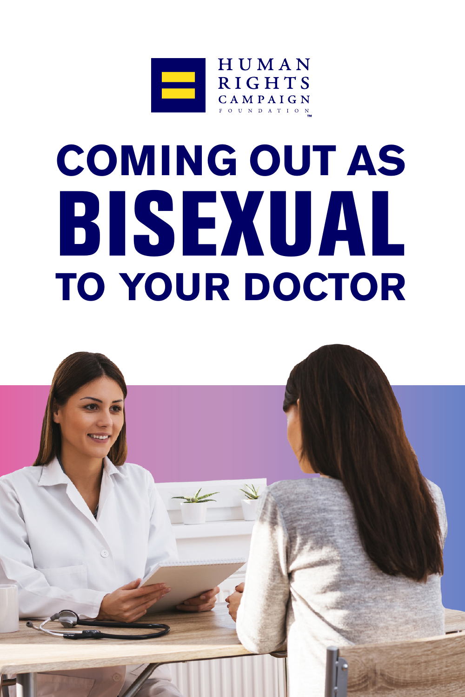

# **COMING OUT AS** BISEXUAL **TO YOUR DOCTOR**

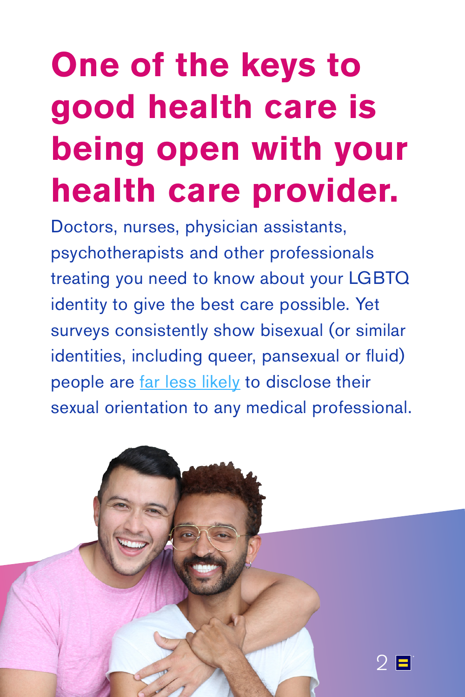# **One of the keys to good health care is being open with your health care provider.**

Doctors, nurses, physician assistants, psychotherapists and other professionals treating you need to know about your LGBTQ identity to give the best care possible. Yet surveys consistently show bisexual (or similar identities, including queer, pansexual or fluid) people are [far less likely](https://www.hrc.org/resources/health-disparities-among-bisexual-people) to disclose their sexual orientation to any medical professional.

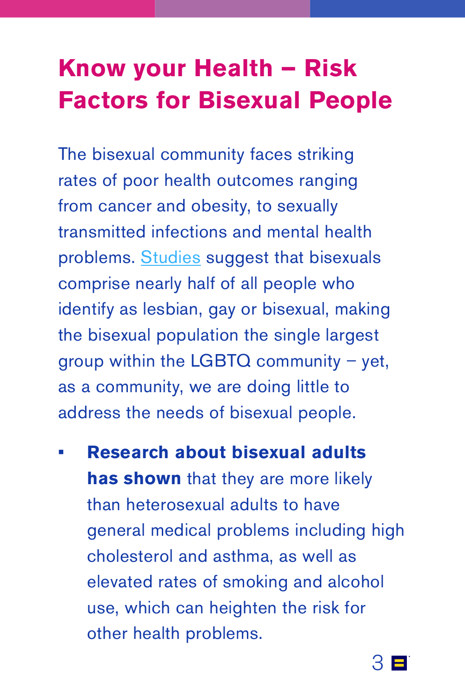### **Know your Health – Risk Factors for Bisexual People**

The bisexual community faces striking rates of poor health outcomes ranging from cancer and obesity, to sexually transmitted infections and mental health problems. [Studies](http://williamsinstitute.law.ucla.edu/wp-content/uploads/Gates-How-Many-People-LGBT-Apr-2011.pdf) suggest that bisexuals comprise nearly half of all people who identify as lesbian, gay or bisexual, making the bisexual population the single largest group within the LGBTQ community  $-$  yet, as a community, we are doing little to address the needs of bisexual people.

**• Research about bisexual adults has shown** that they are more likely than heterosexual adults to have general medical problems including high cholesterol and asthma, as well as elevated rates of smoking and alcohol use, which can heighten the risk for other health problems.

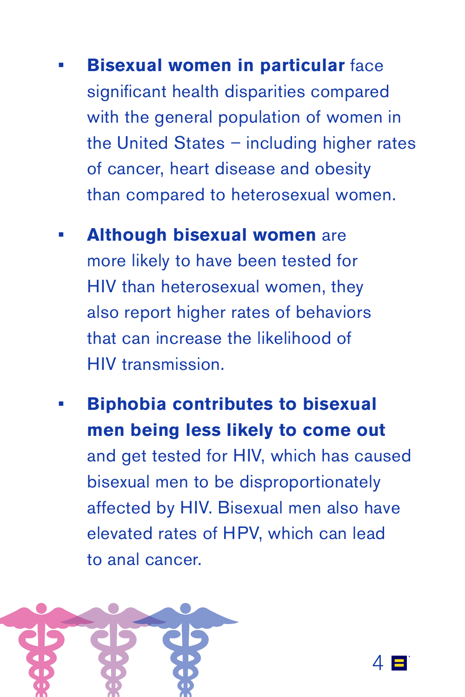- **• Bisexual women in particular** face significant health disparities compared with the general population of women in the United States – including higher rates of cancer, heart disease and obesity than compared to heterosexual women.
- **• Although bisexual women** are more likely to have been tested for HIV than heterosexual women, they also report higher rates of behaviors that can increase the likelihood of HIV transmission.
- **• Biphobia contributes to bisexual men being less likely to come out** and get tested for HIV, which has caused bisexual men to be disproportionately affected by HIV. Bisexual men also have elevated rates of HPV, which can lead to anal cancer.



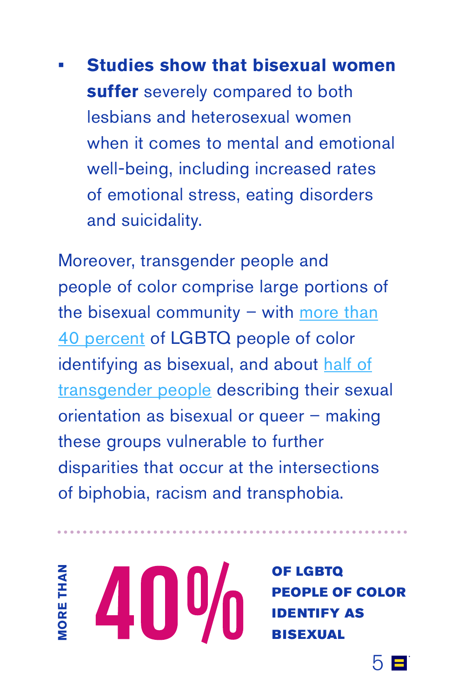**• Studies show that bisexual women suffer** severely compared to both lesbians and heterosexual women when it comes to mental and emotional well-being, including increased rates of emotional stress, eating disorders and suicidality.

Moreover, transgender people and people of color comprise large portions of the bisexual community  $-$  with [more than](http://www.freedomtomarry.org/page/-/files/pdfs/HRC_Equality_Forward_2009.pdf) [40 percent](http://www.freedomtomarry.org/page/-/files/pdfs/HRC_Equality_Forward_2009.pdf) of LGBTQ people of color identifying as bisexual, and about [half of](https://thetaskforceblog.org/2013/06/05/wonky-wednesday-trans-people-sexual-orientation/) [transgender people](https://thetaskforceblog.org/2013/06/05/wonky-wednesday-trans-people-sexual-orientation/) describing their sexual orientation as bisexual or queer – making these groups vulnerable to further disparities that occur at the intersections of biphobia, racism and transphobia.

**MORE THAN ORE THAN**  40%

OF LGBTQ [PEOPLE OF COLOR](http://www.freedomtomarry.org/page/-/files/pdfs/HRC_Equality_Forward_2009.pdf)  IDENTIFY AS BISEXUAL

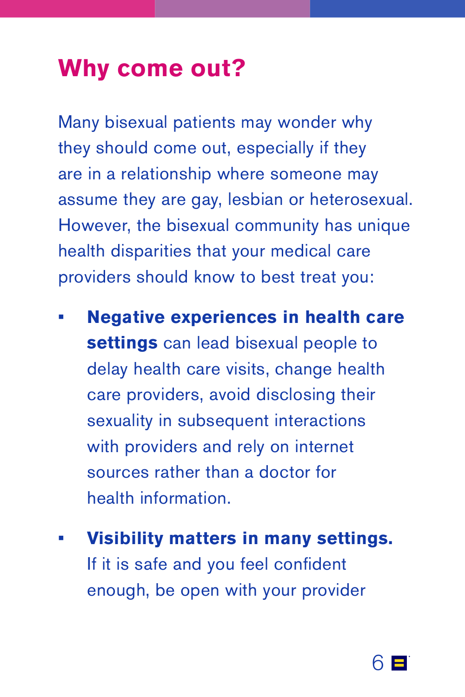#### **Why come out?**

Many bisexual patients may wonder why they should come out, especially if they are in a relationship where someone may assume they are gay, lesbian or heterosexual. However, the bisexual community has unique health disparities that your medical care providers should know to best treat you:

- **• Negative experiences in health care settings** can lead bisexual people to delay health care visits, change health care providers, avoid disclosing their sexuality in subsequent interactions with providers and rely on internet sources rather than a doctor for health information.
- **• Visibility matters in many settings.** If it is safe and you feel confident enough, be open with your provider

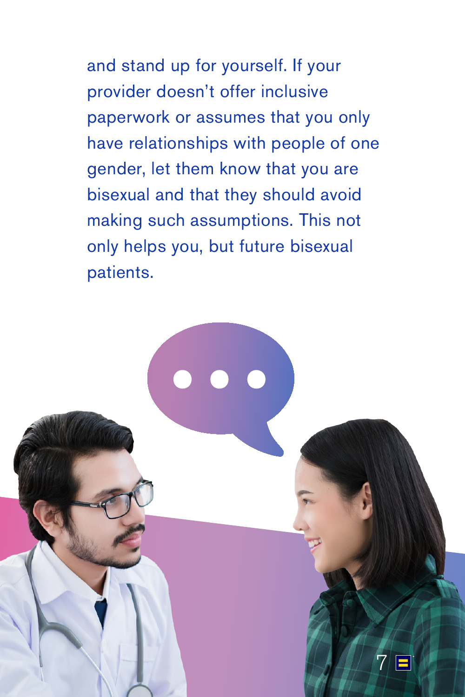and stand up for yourself. If your provider doesn't offer inclusive paperwork or assumes that you only have relationships with people of one gender, let them know that you are bisexual and that they should avoid making such assumptions. This not only helps you, but future bisexual patients.

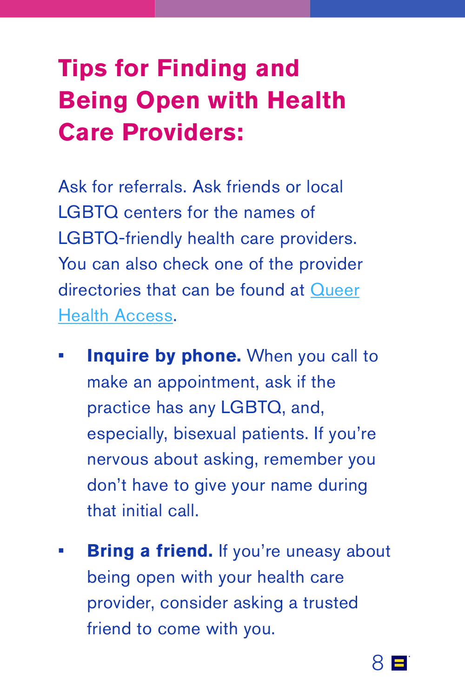## **Tips for Finding and Being Open with Health Care Providers:**

Ask for referrals. Ask friends or local LGBTQ centers for the names of LGBTQ-friendly health care providers. You can also check one of the provider directories that can be found at [Queer](http://www.queerhealthaccess.com/) [Health Access](http://www.queerhealthaccess.com/).

- **Inquire by phone.** When you call to make an appointment, ask if the practice has any LGBTQ, and, especially, bisexual patients. If you're nervous about asking, remember you don't have to give your name during that initial call.
- **Bring a friend.** If you're uneasy about being open with your health care provider, consider asking a trusted friend to come with you.

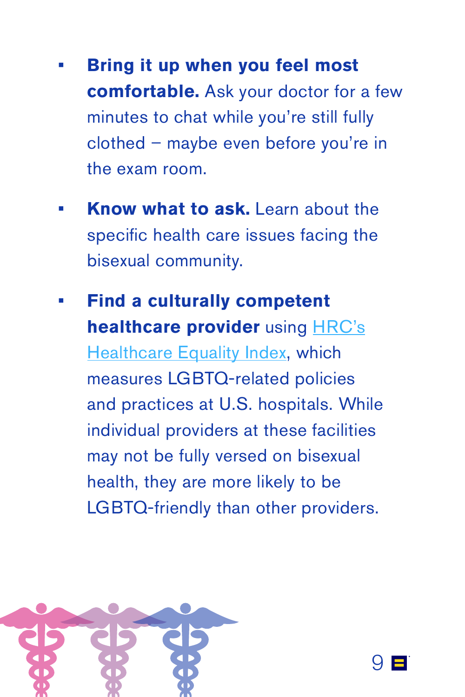- **• Bring it up when you feel most comfortable.** Ask your doctor for a few minutes to chat while you're still fully clothed – maybe even before you're in the exam room.
- **• Know what to ask.** Learn about the specific health care issues facing the bisexual community.
- **• Find a culturally competent healthcare provider** using [HRC's](https://www.hrc.org/hei) [Healthcare Equality Index,](https://www.hrc.org/hei) which measures LGBTQ-related policies and practices at U.S. hospitals. While individual providers at these facilities may not be fully versed on bisexual health, they are more likely to be LGBTQ-friendly than other providers.